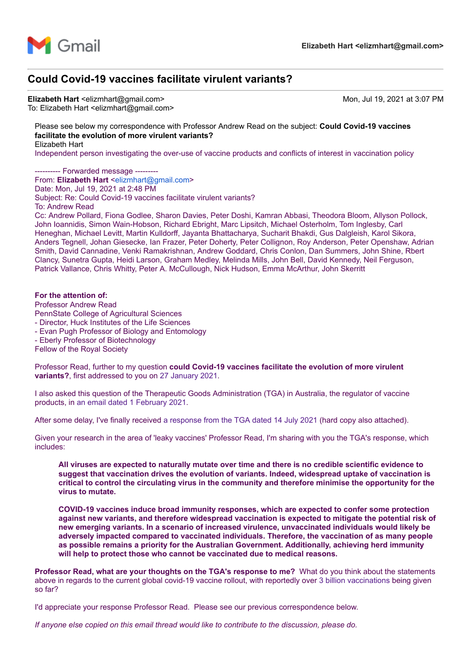

# **Could Covid-19 vaccines facilitate virulent variants?**

Elizabeth Hart <elizmhart@gmail.com> Mon, Jul 19, 2021 at 3:07 PM To: Elizabeth Hart <elizmhart@gmail.com>

Please see below my correspondence with Professor Andrew Read on the subject: **Could Covid-19 vaccines facilitate the evolution of more virulent variants?** Elizabeth Hart

Independent person investigating the over-use of vaccine products and conflicts of interest in vaccination policy

-- Forwarded message ---

From: **Elizabeth Hart** [<elizmhart@gmail.com>](mailto:elizmhart@gmail.com) Date: Mon, Jul 19, 2021 at 2:48 PM Subject: Re: Could Covid-19 vaccines facilitate virulent variants? To: Andrew Read

Cc: Andrew Pollard, Fiona Godlee, Sharon Davies, Peter Doshi, Kamran Abbasi, Theodora Bloom, Allyson Pollock, John Ioannidis, Simon Wain-Hobson, Richard Ebright, Marc Lipsitch, Michael Osterholm, Tom Inglesby, Carl Heneghan, Michael Levitt, Martin Kulldorff, Jayanta Bhattacharya, Sucharit Bhakdi, Gus Dalgleish, Karol Sikora, Anders Tegnell, Johan Giesecke, Ian Frazer, Peter Doherty, Peter Collignon, Roy Anderson, Peter Openshaw, Adrian Smith, David Cannadine, Venki Ramakrishnan, Andrew Goddard, Chris Conlon, Dan Summers, John Shine, Rbert Clancy, Sunetra Gupta, Heidi Larson, Graham Medley, Melinda Mills, John Bell, David Kennedy, Neil Ferguson, Patrick Vallance, Chris Whitty, Peter A. McCullough, Nick Hudson, Emma McArthur, John Skerritt

## **For the attention of:**

Professor Andrew Read PennState College of Agricultural Sciences - Director, Huck Institutes of the Life Sciences

- Evan Pugh Professor of Biology and Entomology
- Eberly Professor of Biotechnology

Fellow of the Royal Society

Professor Read, further to my question **could Covid-19 vaccines facilitate the evolution of more virulent variants?**, first addressed to you on [27 January 2021.](https://vaccinationispolitical.files.wordpress.com/2021/03/covid-19-vaccines-can-they-facilitate-the-evolution-of-more-virulent-variants.pdf)

I also asked this question of the Therapeutic Goods Administration (TGA) in Australia, the regulator of vaccine products, in [an email dated 1 February 2021](https://vaccinationispolitical.files.wordpress.com/2021/02/tga-submission-could-covid-19-vaccines-facilitate-the-evolution-of-more-virulent-variants.pdf).

After some delay, I've finally received [a response from the TGA dated 14 July 2021](https://vaccinationispolitical.files.wordpress.com/2021/07/tga-response-14-july-2021.pdf) (hard copy also attached).

Given your research in the area of 'leaky vaccines' Professor Read, I'm sharing with you the TGA's response, which includes:

**All viruses are expected to naturally mutate over time and there is no credible scientific evidence to suggest that vaccination drives the evolution of variants. Indeed, widespread uptake of vaccination is critical to control the circulating virus in the community and therefore minimise the opportunity for the virus to mutate.**

**COVID-19 vaccines induce broad immunity responses, which are expected to confer some protection against new variants, and therefore widespread vaccination is expected to mitigate the potential risk of new emerging variants. In a scenario of increased virulence, unvaccinated individuals would likely be adversely impacted compared to vaccinated individuals. Therefore, the vaccination of as many people as possible remains a priority for the Australian Government. Additionally, achieving herd immunity will help to protect those who cannot be vaccinated due to medical reasons.**

**Professor Read, what are your thoughts on the TGA's response to me?** What do you think about the statements above in regards to the current global covid-19 vaccine rollout, with reportedly over [3 billion vaccinations](https://www.marketwatch.com/story/more-than-3-billion-covid-vaccine-shots-administered-globally-but-developing-world-is-being-left-behind-11625064918) being given so far?

I'd appreciate your response Professor Read. Please see our previous correspondence below.

*If anyone else copied on this email thread would like to contribute to the discussion, please do.*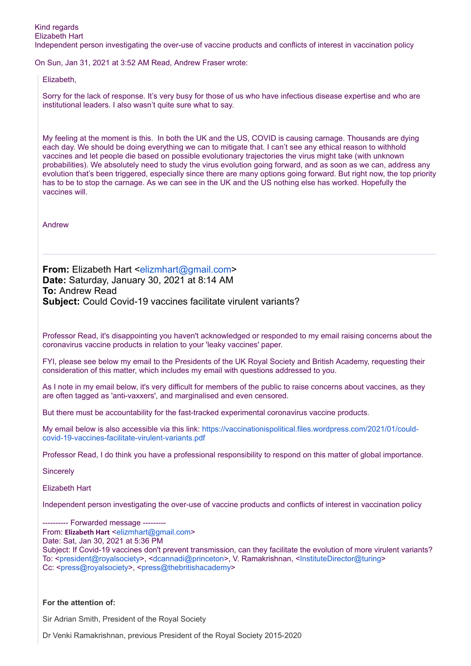Independent person investigating the over-use of vaccine products and conflicts of interest in vaccination policy

On Sun, Jan 31, 2021 at 3:52 AM Read, Andrew Fraser wrote:

Elizabeth,

Sorry for the lack of response. It's very busy for those of us who have infectious disease expertise and who are institutional leaders. I also wasn't quite sure what to say.

My feeling at the moment is this. In both the UK and the US, COVID is causing carnage. Thousands are dying each day. We should be doing everything we can to mitigate that. I can't see any ethical reason to withhold vaccines and let people die based on possible evolutionary trajectories the virus might take (with unknown probabilities). We absolutely need to study the virus evolution going forward, and as soon as we can, address any evolution that's been triggered, especially since there are many options going forward. But right now, the top priority has to be to stop the carnage. As we can see in the UK and the US nothing else has worked. Hopefully the vaccines will.

Andrew

**From:** Elizabeth Hart <[elizmhart@gmail.com](mailto:elizmhart@gmail.com)> **Date:** Saturday, January 30, 2021 at 8:14 AM **To:** Andrew Read **Subject:** Could Covid-19 vaccines facilitate virulent variants?

Professor Read, it's disappointing you haven't acknowledged or responded to my email raising concerns about the coronavirus vaccine products in relation to your 'leaky vaccines' paper.

FYI, please see below my email to the Presidents of the UK Royal Society and British Academy, requesting their consideration of this matter, which includes my email with questions addressed to you.

As I note in my email below, it's very difficult for members of the public to raise concerns about vaccines, as they are often tagged as 'anti-vaxxers', and marginalised and even censored.

But there must be accountability for the fast-tracked experimental coronavirus vaccine products.

[My email below is also accessible via this link: https://vaccinationispolitical.files.wordpress.com/2021/01/could](https://nam10.safelinks.protection.outlook.com/?url=https%3A%2F%2Fvaccinationispolitical.files.wordpress.com%2F2021%2F01%2Fcould-covid-19-vaccines-facilitate-virulent-variants.pdf&data=04%7C01%7Ca.read%40psu.edu%7Caefa6943ff9f4e49572508d8c520f09a%7C7cf48d453ddb4389a9c1c115526eb52e%7C0%7C0%7C637476092616014517%7CUnknown%7CTWFpbGZsb3d8eyJWIjoiMC4wLjAwMDAiLCJQIjoiV2luMzIiLCJBTiI6Ik1haWwiLCJXVCI6Mn0%3D%7C1000&sdata=unokoX4%2B6MJCY683AETGh%2F7kMhqz7dJ020CpYF9959k%3D&reserved=0)covid-19-vaccines-facilitate-virulent-variants.pdf

Professor Read, I do think you have a professional responsibility to respond on this matter of global importance.

**Sincerely** 

Elizabeth Hart

Independent person investigating the over-use of vaccine products and conflicts of interest in vaccination policy

--------- Forwarded message -----

From: **Elizabeth Hart** <[elizmhart@gmail.com](mailto:elizmhart@gmail.com)>

Date: Sat, Jan 30, 2021 at 5:36 PM

Subject: If Covid-19 vaccines don't prevent transmission, can they facilitate the evolution of more virulent variants? To: <[president@royalsociety>](mailto:president@royalsociety.org), [<dcannadi@princeton](mailto:dcannadi@princeton.edu)>, V. Ramakrishnan, [<InstituteDirector@turing>](mailto:InstituteDirector@turing.ac.uk) Cc: <[press@royalsociety](mailto:press@royalsociety.org)>, <[press@thebritishacademy>](mailto:press@thebritishacademy.ac.uk)

# **For the attention of:**

Sir Adrian Smith, President of the Royal Society

Dr Venki Ramakrishnan, previous President of the Royal Society 2015-2020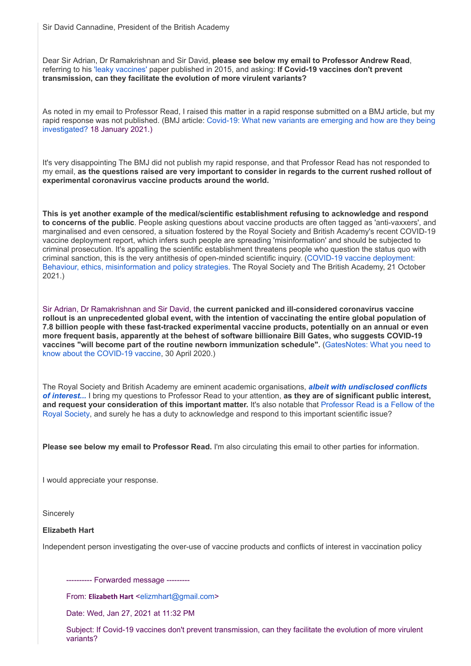Dear Sir Adrian, Dr Ramakrishnan and Sir David, **please see below my email to Professor Andrew Read**, referring to his ['leaky vaccines'](https://nam10.safelinks.protection.outlook.com/?url=https%3A%2F%2Fwww.ncbi.nlm.nih.gov%2Fpmc%2Farticles%2FPMC4516275%2F&data=04%7C01%7Ca.read%40psu.edu%7Caefa6943ff9f4e49572508d8c520f09a%7C7cf48d453ddb4389a9c1c115526eb52e%7C0%7C0%7C637476092616024513%7CUnknown%7CTWFpbGZsb3d8eyJWIjoiMC4wLjAwMDAiLCJQIjoiV2luMzIiLCJBTiI6Ik1haWwiLCJXVCI6Mn0%3D%7C1000&sdata=PNSVXiPwfkZcQC6K3JFtQoG3wQqSJzp%2FYfgCnMPojuw%3D&reserved=0) paper published in 2015, and asking: **If Covid-19 vaccines don't prevent transmission, can they facilitate the evolution of more virulent variants?**

As noted in my email to Professor Read, I raised this matter in a rapid response submitted on a BMJ article, but my rapid response was not published. (BMJ article: Covid-19: [What new variants are emerging and how are they being](https://nam10.safelinks.protection.outlook.com/?url=https%3A%2F%2Fwww.bmj.com%2Fcontent%2F372%2Fbmj.n158&data=04%7C01%7Ca.read%40psu.edu%7Caefa6943ff9f4e49572508d8c520f09a%7C7cf48d453ddb4389a9c1c115526eb52e%7C0%7C0%7C637476092616024513%7CUnknown%7CTWFpbGZsb3d8eyJWIjoiMC4wLjAwMDAiLCJQIjoiV2luMzIiLCJBTiI6Ik1haWwiLCJXVCI6Mn0%3D%7C1000&sdata=VQbC6F72D2cM8IOK9xykLr53vbFq3c4ogYZTcEiXHyk%3D&reserved=0) investigated? 18 January 2021.)

It's very disappointing The BMJ did not publish my rapid response, and that Professor Read has not responded to my email, **as the questions raised are very important to consider in regards to the current rushed rollout of experimental coronavirus vaccine products around the world.**

**This is yet another example of the medical/scientific establishment refusing to acknowledge and respond to concerns of the public**. People asking questions about vaccine products are often tagged as 'anti-vaxxers', and marginalised and even censored, a situation fostered by the Royal Society and British Academy's recent COVID-19 vaccine deployment report, which infers such people are spreading 'misinformation' and should be subjected to criminal prosecution. It's appalling the scientific establishment threatens people who question the status quo with criminal sanction, this is the very antithesis of open-minded scientific inquiry. (COVID-19 vaccine deployment: [Behaviour, ethics, misinformation and policy strategies. The Royal Society and The British Academy, 21 Octob](https://nam10.safelinks.protection.outlook.com/?url=https%3A%2F%2Froyalsociety.org%2F-%2Fmedia%2Fpolicy%2Fprojects%2Fset-c%2Fset-c-vaccine-deployment.pdf&data=04%7C01%7Ca.read%40psu.edu%7Caefa6943ff9f4e49572508d8c520f09a%7C7cf48d453ddb4389a9c1c115526eb52e%7C0%7C0%7C637476092616034506%7CUnknown%7CTWFpbGZsb3d8eyJWIjoiMC4wLjAwMDAiLCJQIjoiV2luMzIiLCJBTiI6Ik1haWwiLCJXVCI6Mn0%3D%7C1000&sdata=1271w6knOMm8fiyzbpFYN0SeQN%2Bq2cmIyiwtypzp24Y%3D&reserved=0)er 2021.)

Sir Adrian, Dr Ramakrishnan and Sir David, t**he current panicked and ill-considered coronavirus vaccine rollout is an unprecedented global event, with the intention of vaccinating the entire global population of 7.8 billion people with these fast-tracked experimental vaccine products, potentially on an annual or even more frequent basis, apparently at the behest of software billionaire Bill Gates, who suggests COVID-19 vaccines "will [become part of the routine newborn immunization schedule".](https://nam10.safelinks.protection.outlook.com/?url=https%3A%2F%2Fwww.gatesnotes.com%2Fhealth%2Fwhat-you-need-to-know-about-the-covid-19-vaccine&data=04%7C01%7Ca.read%40psu.edu%7Caefa6943ff9f4e49572508d8c520f09a%7C7cf48d453ddb4389a9c1c115526eb52e%7C0%7C0%7C637476092616034506%7CUnknown%7CTWFpbGZsb3d8eyJWIjoiMC4wLjAwMDAiLCJQIjoiV2luMzIiLCJBTiI6Ik1haWwiLCJXVCI6Mn0%3D%7C1000&sdata=ofaFrPuzogg8labsR9Pj3WT3p%2FhD7vOidfXg4j6cvUA%3D&reserved=0)** (GatesNotes: What you need to know about the COVID-19 vaccine, 30 April 2020.)

[The Royal Society and British Academy are eminent academic organisations,](https://nam10.safelinks.protection.outlook.com/?url=https%3A%2F%2Fvaccinationispolitical.files.wordpress.com%2F2020%2F12%2Ffailure-to-disclose-conflicts-of-interest-covid-19.pdf&data=04%7C01%7Ca.read%40psu.edu%7Caefa6943ff9f4e49572508d8c520f09a%7C7cf48d453ddb4389a9c1c115526eb52e%7C0%7C0%7C637476092616044500%7CUnknown%7CTWFpbGZsb3d8eyJWIjoiMC4wLjAwMDAiLCJQIjoiV2luMzIiLCJBTiI6Ik1haWwiLCJXVCI6Mn0%3D%7C1000&sdata=YlEuiBZZK5scvg3qEfnEnEgglM4shooNeV8Kt3vybPQ%3D&reserved=0) *albeit with undisclosed conflicts of interest...* I bring my questions to Professor Read to your attention, **as they are of significant public interest, and request your consideration of this important matter.** It's also notable that Professor Read is a Fellow of the [Royal Society, and surely he has a duty to acknowledge and respond to this important scientific issue?](https://nam10.safelinks.protection.outlook.com/?url=https%3A%2F%2Froyalsociety.org%2Fpeople%2Fandrew-read-12154%2F&data=04%7C01%7Ca.read%40psu.edu%7Caefa6943ff9f4e49572508d8c520f09a%7C7cf48d453ddb4389a9c1c115526eb52e%7C0%7C0%7C637476092616044500%7CUnknown%7CTWFpbGZsb3d8eyJWIjoiMC4wLjAwMDAiLCJQIjoiV2luMzIiLCJBTiI6Ik1haWwiLCJXVCI6Mn0%3D%7C1000&sdata=lWqTC%2F9vnVyL0auJNkrYbuFheChWOaEn2zNp3paCpTE%3D&reserved=0)

**Please see below my email to Professor Read.** I'm also circulating this email to other parties for information.

I would appreciate your response.

**Sincerely** 

#### **Elizabeth Hart**

Independent person investigating the over-use of vaccine products and conflicts of interest in vaccination policy

---------- Forwarded message ---------

From: **Elizabeth Hart** <[elizmhart@gmail.com](mailto:elizmhart@gmail.com)>

Date: Wed, Jan 27, 2021 at 11:32 PM

Subject: If Covid-19 vaccines don't prevent transmission, can they facilitate the evolution of more virulent variants?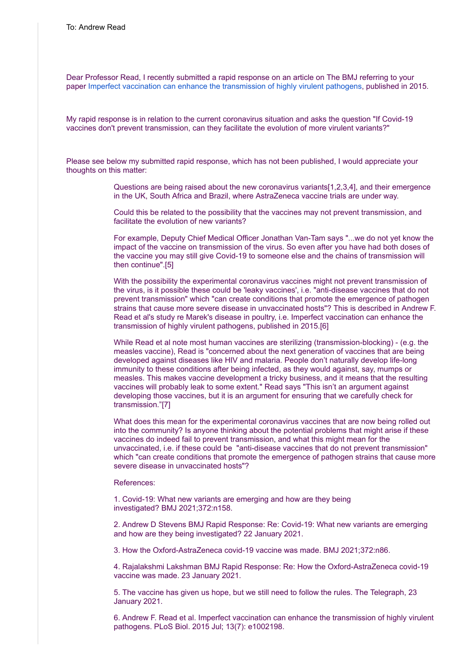Dear Professor Read, I recently submitted a rapid response on an article on The BMJ referring to your paper Imperfect [vaccination can enhance the transmission of highly virulent pathogens](https://nam10.safelinks.protection.outlook.com/?url=https%3A%2F%2Fjournals.plos.org%2Fplosbiology%2Farticle%3Fid%3D10.1371%2Fjournal.pbio.1002198&data=04%7C01%7Ca.read%40psu.edu%7Caefa6943ff9f4e49572508d8c520f09a%7C7cf48d453ddb4389a9c1c115526eb52e%7C0%7C0%7C637476092616054494%7CUnknown%7CTWFpbGZsb3d8eyJWIjoiMC4wLjAwMDAiLCJQIjoiV2luMzIiLCJBTiI6Ik1haWwiLCJXVCI6Mn0%3D%7C1000&sdata=cozrotazPT%2FkvtiHs89v%2B%2B0o2fjzBdCs2lgXqLWIQZQ%3D&reserved=0), published in 2015.

My rapid response is in relation to the current coronavirus situation and asks the question "If Covid-19 vaccines don't prevent transmission, can they facilitate the evolution of more virulent variants?"

Please see below my submitted rapid response, which has not been published, I would appreciate your thoughts on this matter:

> Questions are being raised about the new coronavirus variants[1,2,3,4], and their emergence in the UK, South Africa and Brazil, where AstraZeneca vaccine trials are under way.

Could this be related to the possibility that the vaccines may not prevent transmission, and facilitate the evolution of new variants?

For example, Deputy Chief Medical Officer Jonathan Van-Tam says "...we do not yet know the impact of the vaccine on transmission of the virus. So even after you have had both doses of the vaccine you may still give Covid-19 to someone else and the chains of transmission will then continue".[5]

With the possibility the experimental coronavirus vaccines might not prevent transmission of the virus, is it possible these could be 'leaky vaccines', i.e. "anti-disease vaccines that do not prevent transmission" which "can create conditions that promote the emergence of pathogen strains that cause more severe disease in unvaccinated hosts"? This is described in Andrew F. Read et al's study re Marek's disease in poultry, i.e. Imperfect vaccination can enhance the transmission of highly virulent pathogens, published in 2015.[6]

While Read et al note most human vaccines are sterilizing (transmission-blocking) - (e.g. the measles vaccine). Read is "concerned about the next generation of vaccines that are being developed against diseases like HIV and malaria. People don't naturally develop life-long immunity to these conditions after being infected, as they would against, say, mumps or measles. This makes vaccine development a tricky business, and it means that the resulting vaccines will probably leak to some extent." Read says "This isn't an argument against developing those vaccines, but it is an argument for ensuring that we carefully check for transmission."[7]

What does this mean for the experimental coronavirus vaccines that are now being rolled out into the community? Is anyone thinking about the potential problems that might arise if these vaccines do indeed fail to prevent transmission, and what this might mean for the unvaccinated, i.e. if these could be "anti-disease vaccines that do not prevent transmission" which "can create conditions that promote the emergence of pathogen strains that cause more severe disease in unvaccinated hosts"?

References:

1. Covid-19: What new variants are emerging and how are they being investigated? BMJ 2021;372:n158.

2. Andrew D Stevens BMJ Rapid Response: Re: Covid-19: What new variants are emerging and how are they being investigated? 22 January 2021.

3. How the Oxford-AstraZeneca covid-19 vaccine was made. BMJ 2021;372:n86.

4. Rajalakshmi Lakshman BMJ Rapid Response: Re: How the Oxford-AstraZeneca covid-19 vaccine was made. 23 January 2021.

5. The vaccine has given us hope, but we still need to follow the rules. The Telegraph, 23 January 2021.

6. Andrew F. Read et al. Imperfect vaccination can enhance the transmission of highly virulent pathogens. PLoS Biol. 2015 Jul; 13(7): e1002198.